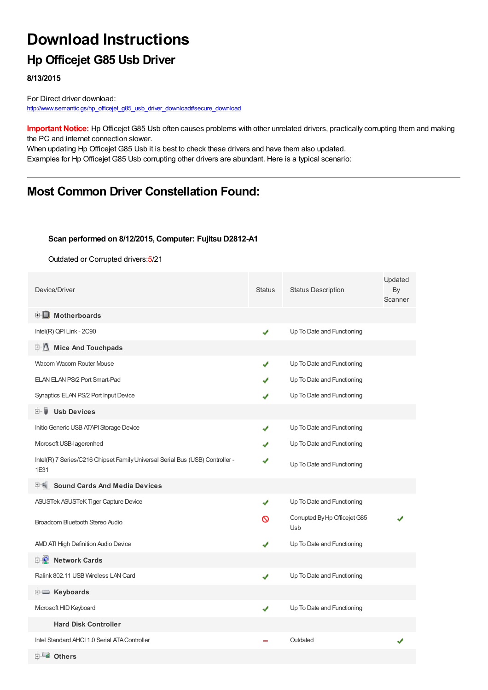## **Download Instructions**

## **Hp Officejet G85 Usb Driver**

**8/13/2015**

For Direct driver download: [http://www.semantic.gs/hp\\_officejet\\_g85\\_usb\\_driver\\_download#secure\\_download](http://www.semantic.gs/hp_officejet_g85_usb_driver_download#secure_download)

**Important Notice:** Hp Officejet G85 Usb often causes problems with other unrelated drivers, practically corrupting them and making the PC and internet connection slower.

When updating Hp Officejet G85 Usb it is best to check these drivers and have them also updated. Examples for Hp Officejet G85 Usb corrupting other drivers are abundant. Here is a typical scenario:

## **Most Common Driver Constellation Found:**

#### **Scan performed on 8/12/2015, Computer: Fujitsu D2812-A1**

Outdated or Corrupted drivers:5/21

| Device/Driver                                                                         | <b>Status</b> | <b>Status Description</b>            | Updated<br>By<br>Scanner |
|---------------------------------------------------------------------------------------|---------------|--------------------------------------|--------------------------|
| <b>E</b> Motherboards                                                                 |               |                                      |                          |
| Intel(R) QPI Link - 2C90                                                              | ✔             | Up To Date and Functioning           |                          |
| 中心 Mice And Touchpads                                                                 |               |                                      |                          |
| Wacom Wacom Router Mouse                                                              | ✔             | Up To Date and Functioning           |                          |
| ELAN ELAN PS/2 Port Smart-Pad                                                         | ✔             | Up To Date and Functioning           |                          |
| Synaptics ELAN PS/2 Port Input Device                                                 | J             | Up To Date and Functioning           |                          |
| <b>Usb Devices</b><br>⊞… ∎                                                            |               |                                      |                          |
| Initio Generic USB ATAPI Storage Device                                               | ✔             | Up To Date and Functioning           |                          |
| Microsoft USB-lagerenhed                                                              | J             | Up To Date and Functioning           |                          |
| Intel(R) 7 Series/C216 Chipset Family Universal Serial Bus (USB) Controller -<br>1E31 | ✔             | Up To Date and Functioning           |                          |
| <b>Sound Cards And Media Devices</b>                                                  |               |                                      |                          |
| ASUSTek ASUSTeK Tiger Capture Device                                                  | ✔             | Up To Date and Functioning           |                          |
| Broadcom Bluetooth Stereo Audio                                                       | ര             | Corrupted By Hp Officejet G85<br>Usb |                          |
| AND ATI High Definition Audio Device                                                  |               | Up To Date and Functioning           |                          |
| 中 <b>业</b> Network Cards                                                              |               |                                      |                          |
| Ralink 802.11 USB Wireless LAN Card                                                   | ✔             | Up To Date and Functioning           |                          |
| E Keyboards                                                                           |               |                                      |                          |
| Microsoft HID Keyboard                                                                | ✔             | Up To Date and Functioning           |                          |
| <b>Hard Disk Controller</b>                                                           |               |                                      |                          |
| Intel Standard AHCI 1.0 Serial ATA Controller                                         |               | Outdated                             |                          |
| <b>E</b> Others                                                                       |               |                                      |                          |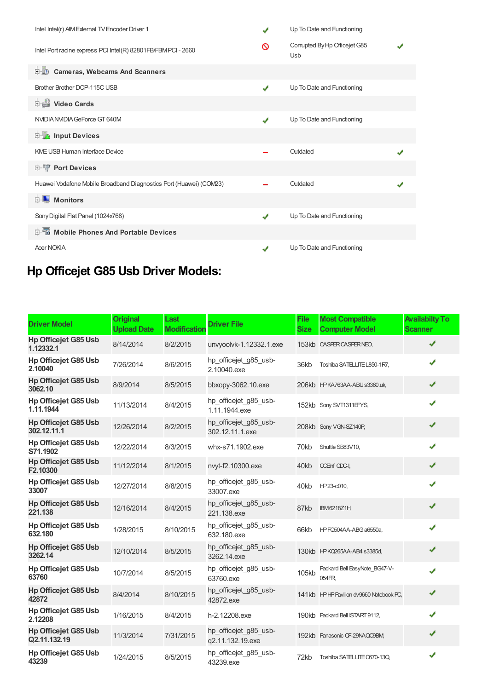| Intel Intel(r) AIM External TV Encoder Driver 1                    | $\mathbf{v}$ | Up To Date and Functioning           |  |
|--------------------------------------------------------------------|--------------|--------------------------------------|--|
| Intel Port racine express PCI Intel(R) 82801FB/FBMPCI - 2660       | ര            | Corrupted By Hp Officejet G85<br>Usb |  |
| <b>Cameras, Webcams And Scanners</b><br>由心                         |              |                                      |  |
| Brother Brother DCP-115C USB                                       | J            | Up To Date and Functioning           |  |
| Video Cards                                                        |              |                                      |  |
| NVIDIA NVIDIA GeForce GT 640M                                      |              | Up To Date and Functioning           |  |
| <b>E</b> Input Devices                                             |              |                                      |  |
| <b>KME USB Human Interface Device</b>                              |              | Outdated                             |  |
| <b>E</b> <sup>1</sup> <sub>1</sub> Port Devices                    |              |                                      |  |
| Huawei Vodafone Mobile Broadband Diagnostics Port (Huawei) (COM23) |              | Outdated                             |  |
| <b>E</b> Monitors                                                  |              |                                      |  |
| Sony Digital Flat Panel (1024x768)                                 | J            | Up To Date and Functioning           |  |
| 中国 Mobile Phones And Portable Devices                              |              |                                      |  |
| <b>Acer NOKIA</b>                                                  |              | Up To Date and Functioning           |  |

# **Hp Officejet G85 Usb Driver Models:**

| <b>Driver Model</b>                         | <b>Original</b><br><b>Upload Date</b> | Last<br><b>Modification</b> | <b>Driver File</b>                        | <b>File</b><br><b>Size</b> | <b>Most Compatible</b><br><b>Computer Model</b> | <b>Availabilty To</b><br><b>Scanner</b> |
|---------------------------------------------|---------------------------------------|-----------------------------|-------------------------------------------|----------------------------|-------------------------------------------------|-----------------------------------------|
| <b>Hp Officejet G85 Usb</b><br>1.12332.1    | 8/14/2014                             | 8/2/2015                    | unvyoolvk-1.12332.1.exe                   |                            | 153kb CASPER CASPER NEO.                        | ✔                                       |
| <b>Hp Officejet G85 Usb</b><br>2.10040      | 7/26/2014                             | 8/6/2015                    | hp_officejet_g85_usb-<br>2.10040.exe      | 36kb                       | Toshiba SATELLITE L850-1R7,                     | ✔                                       |
| <b>Hp Officejet G85 Usb</b><br>3062.10      | 8/9/2014                              | 8/5/2015                    | bbxopy-3062.10.exe                        |                            | 206kb HPKA763AA-ABUs3360.uk,                    | ✔                                       |
| <b>Hp Officejet G85 Usb</b><br>1.11.1944    | 11/13/2014                            | 8/4/2015                    | hp_officejet_g85_usb-<br>1.11.1944.exe    |                            | 152kb Sony SVT1311EFYS.                         | J                                       |
| <b>Hp Officejet G85 Usb</b><br>302.12.11.1  | 12/26/2014                            | 8/2/2015                    | hp officejet g85 usb-<br>302.12.11.1.exe  |                            | 208kb Sony VGN-SZ140P,                          | J                                       |
| <b>Hp Officejet G85 Usb</b><br>S71.1902     | 12/22/2014                            | 8/3/2015                    | whx-s71.1902.exe                          | 70kb                       | Shuttle SB83V10,                                |                                         |
| <b>Hp Officejet G85 Usb</b><br>F2.10300     | 11/12/2014                            | 8/1/2015                    | nvyt-f2.10300.exe                         | 40kb                       | <b>CCEInf CDC-I,</b>                            | J                                       |
| <b>Hp Officejet G85 Usb</b><br>33007        | 12/27/2014                            | 8/8/2015                    | hp officejet g85 usb-<br>33007.exe        | 40kb                       | HP23-c010,                                      |                                         |
| <b>Hp Officejet G85 Usb</b><br>221.138      | 12/16/2014                            | 8/4/2015                    | hp_officejet_g85_usb-<br>221.138.exe      | 87kb                       | <b>IBM6218Z1H</b>                               | ✔                                       |
| <b>Hp Officejet G85 Usb</b><br>632.180      | 1/28/2015                             | 8/10/2015                   | hp officejet g85 usb-<br>632.180.exe      | 66kb                       | HPFQ504AA-ABG a6550a,                           | ✔                                       |
| <b>Hp Officejet G85 Usb</b><br>3262.14      | 12/10/2014                            | 8/5/2015                    | hp_officejet_g85_usb-<br>3262.14.exe      |                            | 130kb HPKQ265AA-AB4 s3385d,                     | ✔                                       |
| Hp Officejet G85 Usb<br>63760               | 10/7/2014                             | 8/5/2015                    | hp_officejet_g85_usb-<br>63760.exe        | 105kb                      | Packard Bell EasyNote_BG47-V-<br>054FR          | ✔                                       |
| <b>Hp Officejet G85 Usb</b><br>42872        | 8/4/2014                              | 8/10/2015                   | hp_officejet_g85_usb-<br>42872.exe        |                            | 141kb HPHP Pavilion dv9660 Notebook PC,         | ✔                                       |
| <b>Hp Officejet G85 Usb</b><br>2.12208      | 1/16/2015                             | 8/4/2015                    | h-2.12208.exe                             |                            | 190kb Packard Bell ISTART 9112,                 | J                                       |
| <b>Hp Officejet G85 Usb</b><br>Q2.11.132.19 | 11/3/2014                             | 7/31/2015                   | hp officejet g85 usb-<br>q2.11.132.19.exe |                            | 192kb Panasonic CF-29NAQC9BM,                   | ✔                                       |
| Hp Officejet G85 Usb<br>43239               | 1/24/2015                             | 8/5/2015                    | hp officejet_g85_usb-<br>43239.exe        | 72kb                       | Toshiba SATELLITE 0670-13Q.                     | ✔                                       |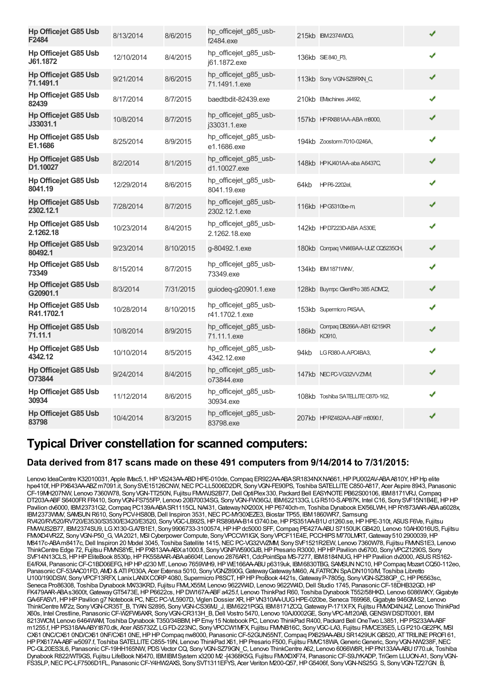| <b>Hp Officejet G85 Usb</b><br>F2484      | 8/13/2014  | 8/6/2015  | hp_officejet_g85_usb-<br>f2484.exe      |       | 215kb IBM2374WDG,                  | ✔ |  |
|-------------------------------------------|------------|-----------|-----------------------------------------|-------|------------------------------------|---|--|
| <b>Hp Officejet G85 Usb</b><br>J61.1872   | 12/10/2014 | 8/4/2015  | hp_officejet_g85_usb-<br>j61.1872.exe   |       | 136kb SIE840 P3,                   | ✔ |  |
| <b>Hp Officejet G85 Usb</b><br>71.1491.1  | 9/21/2014  | 8/6/2015  | hp_officejet_g85_usb-<br>71.1491.1.exe  |       | 113kb Sony VGN-SZ6RXN C,           | ✔ |  |
| Hp Officejet G85 Usb<br>82439             | 8/17/2014  | 8/7/2015  | baedtbdit-82439.exe                     |       | 210kb EVachines J4492.             | J |  |
| <b>Hp Officejet G85 Usb</b><br>J33031.1   | 10/8/2014  | 8/7/2015  | hp officejet g85 usb-<br>j33031.1.exe   |       | 157kb HPRX881AA-ABA m8000,         |   |  |
| <b>Hp Officejet G85 Usb</b><br>E1.1686    | 8/25/2014  | 8/9/2015  | hp officejet g85 usb-<br>e1.1686.exe    |       | 194kb Zoostorm 7010-0246A,         |   |  |
| <b>Hp Officejet G85 Usb</b><br>D1.10027   | 8/2/2014   | 8/1/2015  | hp_officejet_g85_usb-<br>d1.10027.exe   |       | 148kb HPKJ401AA-aba A6437C,        | ✔ |  |
| Hp Officejet G85 Usb<br>8041.19           | 12/29/2014 | 8/6/2015  | hp_officejet_g85_usb-<br>8041.19.exe    | 64kb  | HPP6-2202el,                       |   |  |
| <b>Hp Officejet G85 Usb</b><br>2302.12.1  | 7/28/2014  | 8/7/2015  | hp_officejet_g85_usb-<br>2302.12.1.exe  |       | 116kb HPG5310be-m                  | ✔ |  |
| <b>Hp Officejet G85 Usb</b><br>2.1262.18  | 10/23/2014 | 8/4/2015  | hp_officejet_g85_usb-<br>2.1262.18.exe  |       | 142kb HPD7223D-ABA A530E           | ✔ |  |
| <b>Hp Officejet G85 Usb</b><br>80492.1    | 9/23/2014  | 8/10/2015 | g-80492.1.exe                           |       | 180kb Compag VN469AA-UUZ CQ5235CH, | ✔ |  |
| <b>Hp Officejet G85 Usb</b><br>73349      | 8/15/2014  | 8/7/2015  | hp_officejet_g85_usb-<br>73349.exe      |       | 134kb IBM 1871 WW,                 | ✔ |  |
| <b>Hp Officejet G85 Usb</b><br>G20901.1   | 8/3/2014   | 7/31/2015 | guiodeq-g20901.1.exe                    |       | 128kb Buympc ClientPro 385 ADMC2,  | ✔ |  |
| <b>Hp Officejet G85 Usb</b><br>R41.1702.1 | 10/28/2014 | 8/10/2015 | hp officejet g85 usb-<br>r41.1702.1.exe |       | 153kb Supermicro P4SAA,            | ✔ |  |
| <b>Hp Officejet G85 Usb</b><br>71.11.1    | 10/8/2014  | 8/9/2015  | hp_officejet_g85_usb-<br>71.11.1.exe    | 186kb | Compaq DB266A-AB1 6215KR<br>KO910, | ✔ |  |
| <b>Hp Officejet G85 Usb</b><br>4342.12    | 10/10/2014 | 8/5/2015  | hp_officejet_g85_usb-<br>4342.12.exe    | 94kb  | LG R380-A.APC4BA3,                 | ✔ |  |
| <b>Hp Officejet G85 Usb</b><br>O73844     | 9/24/2014  | 8/4/2015  | hp_officejet_g85_usb-<br>o73844.exe     |       | 147kb NEC PC-VG32VVZMM             | ✔ |  |
| <b>Hp Officejet G85 Usb</b><br>30934      | 11/12/2014 | 8/6/2015  | hp_officejet_g85_usb-<br>30934.exe      |       | 108kb Toshiba SATELLITE C870-162,  | ✔ |  |
| <b>Hp Officejet G85 Usb</b><br>83798      | 10/4/2014  | 8/3/2015  | hp_officejet_g85_usb-<br>83798.exe      |       | 207kb HPRZ482AA-ABF m8090.f,       | ✔ |  |

### **Typical Driver constellation for scanned computers:**

### **Data derived from 817 scans made on these 491 computers from 9/14/2014 to 7/31/2015:**

Lenovo IdeaCentre K32010031, Apple IMac5,1, HP VS243AA-ABD HPE-010de, Compaq ER922AA-ABA SR1834NX NA661, HP PU002AV-ABA A810Y, HP Hp elite hpe410f, HP PX643AA-ABZ m7091.it, Sony SVE15126CNW, NEC PC-LL5006D2DR, Sony VGN-FE90PS, Toshiba SATELLITE C850-A817, Acer Aspire 8943, Panasonic CF-19MH207NW, Lenovo 7360W78, Sony VGN-TT250N, Fujitsu FMWUS2B77, Dell OptiPlex330, Packard Bell EASYNOTE PB62S00106, IBM8171VRJ, Compaq DT203A-ABFS6400FRFR410, SonyVGN-FS755FP, Lenovo 20B70034SG, SonyVGN-FW36GJ, IBM622133G, LGR510-S.AP87K, Intel C16, SonySVF15N1B4E,HPHP Pavilion dv6000, IBM23731G2, Compaq PC139A-ABASR1115CL NA431, Gateway NX200X, HP P6740ch-m, Toshiba Dynabook EX/56LWH, HP RY873AAR-ABA a6028x, IBM2373WMV, SAWSUN R610, Sony PCV-HS80B, Dell Inspiron 3531, NEC PC-MY30XEZE3, Biostar TP55, IBM 1860WR7, Samsung RV420/RV520/RV720/E3530/S3530/E3420/E3520, Sony VGC-LB92S, HPRS898AA-B14 t3740.be, HP PS351AA-B1U d1260.se, HP HPE-310t, ASUS F6Ve, Fujitsu FMVWJS2B77, IBM2374SU9, LGX130-G.A7B1E1, Sony9906733-3100574,HPHPdc5000 SFF,Compaq PE427A-ABUS7150UKGB420, Lenovo 10AH0016US, Fujitsu FMVXD4VR2Z, Sony VGN-P50 G, VIA 2021, MSI Cyberpower Compute, Sony VPCCW1IGX, Sony VPCF11E4E, PCCHIPS M770LMRT, Gateway 510 2900039, HP M8417c-ABAm8417c, Dell Inspiron 20 Model 3045, Toshiba Satellite 1415, NEC PC-VG32VVZMM, Sony SVF1521R2EW, Lenovo 7360W78, Fujitsu FMMS1E3, Lenovo ThinkCentre Edge 72, Fujitsu FMMS8YE, HP PX813AA-ABXa1000.fi, Sony VGNFW590GJB, HP Presario R3000, HP HP Pavilion dv6700, Sony VPCZ1290S, Sony SVF14N13CLS, HPHP EliteBook 8530p, HP FK558AAR-ABAa6604f, Lenovo 2876AR1, CdcPointSpa MS-7277, IBM8184NUG, HPHP Pavilion dv2000, ASUS RS162-E4/RX4, Panasonic CF-C1BD06EFG, HP HP d230 MT, Lenovo 7659WH9, HP WE166AA-ABU p6319uk, IBM6830TBG, SAMSUN NC10, HP Compaq Mozart CQ50-112eo, PanasonicCF-53AAC01FD, AMD&ATI P030A, Acer Extensa 5010, SonyVGNZ890G,GatewayGatewayM460, ALFATRONSpADN1010/M, Toshiba Libretto U100/190DSW, SonyVPCF13RFX, LanixLANIXCORP4080, Supermicro P8SCT,HPHPProBook 4421s,GatewayP-7805g, SonyVGN-SZ38GP\_C,HPP6563sc, Seneca Pro86308, Toshiba Dynabook MX33KRD, Fujitsu FMLX55M, Lenovo 9622W4D, Lenovo 9622W4D, Dell Studio 1745, Panasonic CF-18DHB32GD, HP FK479AAR-ABAs3600t, Gateway GT5473E, HP P6622cs, HP DW167A-ABF a425.f, Lenovo ThinkPad R60, Toshiba Dynabook T552/58HKD, Lenovo 6086WKY, Gigabyte GA-6FASV1, HP HP Pavilion g7 Notebook PC, NEC PC-VL5907D, Viglen Dossier XR, HP VN310AA-UUG HPE-020be, Seneca T69968, Gigabyte 946GM-S2, Lenovo ThinkCentre M72z, SonyVGN-CR35T\_B, TYANS2895, SonyVGN-CS36MJ\_J, IBM6221PGG, IBM8171ZCQ,GatewayP-171XFX, Fujitsu FMVXD4NJ4Z, Lenovo ThinkPad X60s, Intel Crestline, PanasonicCF-W2FW6AXR, SonyVGN-CR313H\_B,Dell Vostro 5470, Lenovo 10AJ0002GE, SonyVPC-M120AB,GENSWDSDT0001, IBM 8213WCM, Lenovo 6464WAM, Toshiba Dynabook T350/34BBM,HPEnvy15 Notebook PC, Lenovo ThinkPad R400, Packard Bell OneTwo L3851,HPPS233AA-ABF m1255.f,HPPS318AA-ABYt870.dk, Acer AS5732Z, LGFD-223NC, SonyVPCCW1MFX, Fujitsu FMVNB16C, SonyVGC-LA3, Fujitsu FMVCE35E5, LGP210-GE2PK, MSI CX61 0NC/CX61 0ND/CX61 0NF/CX61 0NE,HPHPCompaq nw8000, PanasonicCF-52GUN55NT,Compaq PX629AA-ABUSR1429UKGB520, ATTRILINEPROFI 61, HPPX617AA-ABFw5097.f, Toshiba SATELLITEC855-19N, Lenovo ThinkPad X61,HPPresario F500, Fujitsu FMVC18WA,GenericGeneric, SonyVGN-NW238F,NEC PC-GL20ES3L6, Panasonic CF-19HH165NW, PDS Vector CQ, Sony VGN-SZ79GN C, Lenovo ThinkCentre A62, Lenovo 6066W8R, HP PN133AA-ABU t770.uk, Toshiba Dynabook R822/WT9GS, Fujitsu LifeBook N6470, IBMIBMSystem x3200 M2 -[4368K5G, Fujitsu FMXDXF74, Panasonic CF-S9JYKADP, TriGem LLUON-A1, Sony VGN-FS35LP, NEC PC-LF7506D1FL, Panasonic CF-Y4HW2AXS, Sony SVT1311EFYS, Acer Veriton M200-Q57, HP G5406f, Sony VGN-NS25G\_S, Sony VGN-TZ27GN\_B,